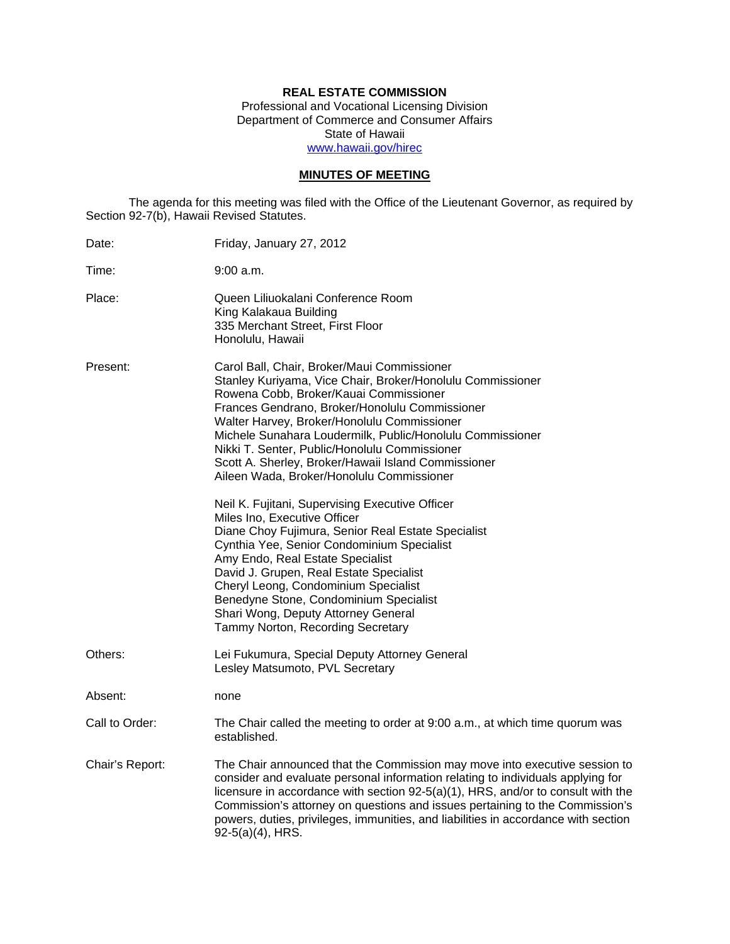# **REAL ESTATE COMMISSION**

Professional and Vocational Licensing Division Department of Commerce and Consumer Affairs State of Hawaii www.hawaii.gov/hirec

## **MINUTES OF MEETING**

The agenda for this meeting was filed with the Office of the Lieutenant Governor, as required by Section 92-7(b), Hawaii Revised Statutes.

| Date:           | Friday, January 27, 2012                                                                                                                                                                                                                                                                                                                                                                                                                                               |
|-----------------|------------------------------------------------------------------------------------------------------------------------------------------------------------------------------------------------------------------------------------------------------------------------------------------------------------------------------------------------------------------------------------------------------------------------------------------------------------------------|
| Time:           | 9:00 a.m.                                                                                                                                                                                                                                                                                                                                                                                                                                                              |
| Place:          | Queen Liliuokalani Conference Room<br>King Kalakaua Building<br>335 Merchant Street, First Floor<br>Honolulu, Hawaii                                                                                                                                                                                                                                                                                                                                                   |
| Present:        | Carol Ball, Chair, Broker/Maui Commissioner<br>Stanley Kuriyama, Vice Chair, Broker/Honolulu Commissioner<br>Rowena Cobb, Broker/Kauai Commissioner<br>Frances Gendrano, Broker/Honolulu Commissioner<br>Walter Harvey, Broker/Honolulu Commissioner<br>Michele Sunahara Loudermilk, Public/Honolulu Commissioner<br>Nikki T. Senter, Public/Honolulu Commissioner<br>Scott A. Sherley, Broker/Hawaii Island Commissioner<br>Aileen Wada, Broker/Honolulu Commissioner |
|                 | Neil K. Fujitani, Supervising Executive Officer<br>Miles Ino, Executive Officer<br>Diane Choy Fujimura, Senior Real Estate Specialist<br>Cynthia Yee, Senior Condominium Specialist<br>Amy Endo, Real Estate Specialist<br>David J. Grupen, Real Estate Specialist<br>Cheryl Leong, Condominium Specialist<br>Benedyne Stone, Condominium Specialist<br>Shari Wong, Deputy Attorney General<br>Tammy Norton, Recording Secretary                                       |
| Others:         | Lei Fukumura, Special Deputy Attorney General<br>Lesley Matsumoto, PVL Secretary                                                                                                                                                                                                                                                                                                                                                                                       |
| Absent:         | none                                                                                                                                                                                                                                                                                                                                                                                                                                                                   |
| Call to Order:  | The Chair called the meeting to order at 9:00 a.m., at which time quorum was<br>established.                                                                                                                                                                                                                                                                                                                                                                           |
| Chair's Report: | The Chair announced that the Commission may move into executive session to<br>consider and evaluate personal information relating to individuals applying for<br>licensure in accordance with section 92-5(a)(1), HRS, and/or to consult with the<br>Commission's attorney on questions and issues pertaining to the Commission's<br>powers, duties, privileges, immunities, and liabilities in accordance with section<br>$92-5(a)(4)$ , HRS.                         |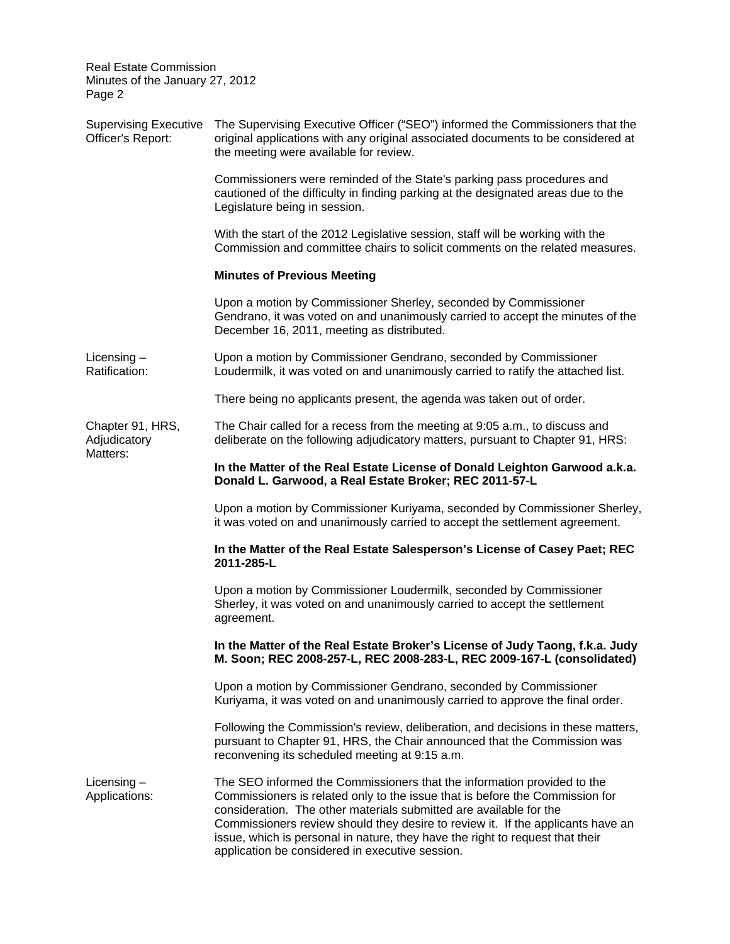| <b>Real Estate Commission</b><br>Minutes of the January 27, 2012<br>Page 2 |                                                                                                                                                                                                                                                                                                                                                                                                                                                      |  |  |  |
|----------------------------------------------------------------------------|------------------------------------------------------------------------------------------------------------------------------------------------------------------------------------------------------------------------------------------------------------------------------------------------------------------------------------------------------------------------------------------------------------------------------------------------------|--|--|--|
| <b>Supervising Executive</b><br>Officer's Report:                          | The Supervising Executive Officer ("SEO") informed the Commissioners that the<br>original applications with any original associated documents to be considered at<br>the meeting were available for review.                                                                                                                                                                                                                                          |  |  |  |
|                                                                            | Commissioners were reminded of the State's parking pass procedures and<br>cautioned of the difficulty in finding parking at the designated areas due to the<br>Legislature being in session.                                                                                                                                                                                                                                                         |  |  |  |
|                                                                            | With the start of the 2012 Legislative session, staff will be working with the<br>Commission and committee chairs to solicit comments on the related measures.                                                                                                                                                                                                                                                                                       |  |  |  |
|                                                                            | <b>Minutes of Previous Meeting</b>                                                                                                                                                                                                                                                                                                                                                                                                                   |  |  |  |
|                                                                            | Upon a motion by Commissioner Sherley, seconded by Commissioner<br>Gendrano, it was voted on and unanimously carried to accept the minutes of the<br>December 16, 2011, meeting as distributed.                                                                                                                                                                                                                                                      |  |  |  |
| Licensing $-$<br>Ratification:                                             | Upon a motion by Commissioner Gendrano, seconded by Commissioner<br>Loudermilk, it was voted on and unanimously carried to ratify the attached list.                                                                                                                                                                                                                                                                                                 |  |  |  |
|                                                                            | There being no applicants present, the agenda was taken out of order.                                                                                                                                                                                                                                                                                                                                                                                |  |  |  |
| Chapter 91, HRS,<br>Adjudicatory<br>Matters:                               | The Chair called for a recess from the meeting at 9:05 a.m., to discuss and<br>deliberate on the following adjudicatory matters, pursuant to Chapter 91, HRS:                                                                                                                                                                                                                                                                                        |  |  |  |
|                                                                            | In the Matter of the Real Estate License of Donald Leighton Garwood a.k.a.<br>Donald L. Garwood, a Real Estate Broker; REC 2011-57-L                                                                                                                                                                                                                                                                                                                 |  |  |  |
|                                                                            | Upon a motion by Commissioner Kuriyama, seconded by Commissioner Sherley,<br>it was voted on and unanimously carried to accept the settlement agreement.                                                                                                                                                                                                                                                                                             |  |  |  |
|                                                                            | In the Matter of the Real Estate Salesperson's License of Casey Paet; REC<br>2011-285-L                                                                                                                                                                                                                                                                                                                                                              |  |  |  |
|                                                                            | Upon a motion by Commissioner Loudermilk, seconded by Commissioner<br>Sherley, it was voted on and unanimously carried to accept the settlement<br>agreement.                                                                                                                                                                                                                                                                                        |  |  |  |
|                                                                            | In the Matter of the Real Estate Broker's License of Judy Taong, f.k.a. Judy<br>M. Soon; REC 2008-257-L, REC 2008-283-L, REC 2009-167-L (consolidated)                                                                                                                                                                                                                                                                                               |  |  |  |
|                                                                            | Upon a motion by Commissioner Gendrano, seconded by Commissioner<br>Kuriyama, it was voted on and unanimously carried to approve the final order.                                                                                                                                                                                                                                                                                                    |  |  |  |
|                                                                            | Following the Commission's review, deliberation, and decisions in these matters,<br>pursuant to Chapter 91, HRS, the Chair announced that the Commission was<br>reconvening its scheduled meeting at 9:15 a.m.                                                                                                                                                                                                                                       |  |  |  |
| Licensing $-$<br>Applications:                                             | The SEO informed the Commissioners that the information provided to the<br>Commissioners is related only to the issue that is before the Commission for<br>consideration. The other materials submitted are available for the<br>Commissioners review should they desire to review it. If the applicants have an<br>issue, which is personal in nature, they have the right to request that their<br>application be considered in executive session. |  |  |  |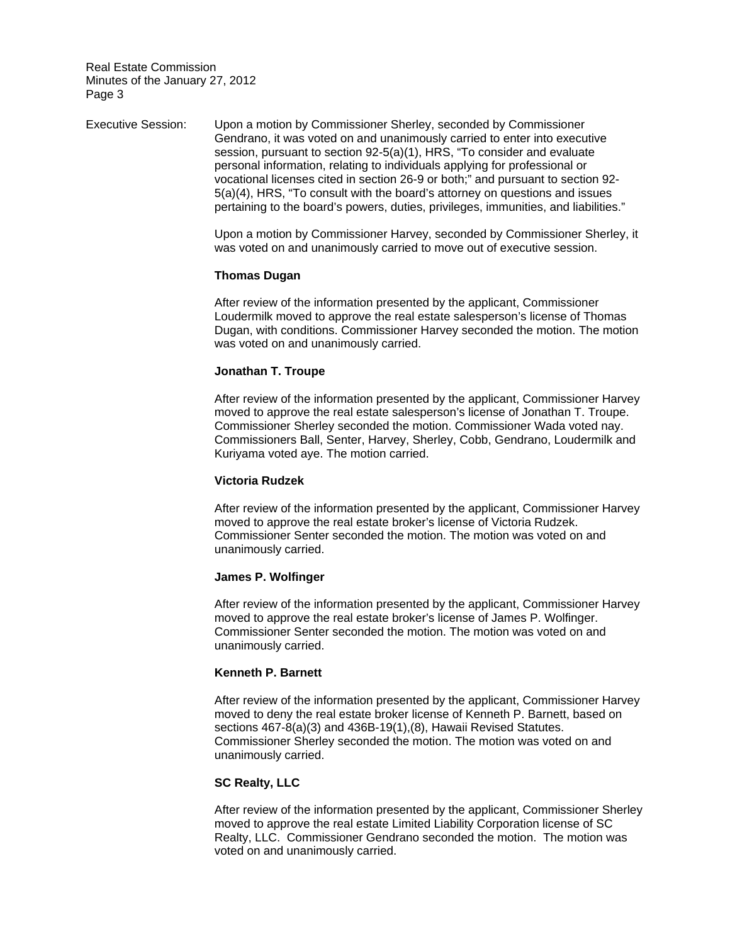Executive Session: Upon a motion by Commissioner Sherley, seconded by Commissioner Gendrano, it was voted on and unanimously carried to enter into executive session, pursuant to section 92-5(a)(1), HRS, "To consider and evaluate personal information, relating to individuals applying for professional or vocational licenses cited in section 26-9 or both;" and pursuant to section 92- 5(a)(4), HRS, "To consult with the board's attorney on questions and issues pertaining to the board's powers, duties, privileges, immunities, and liabilities."

> Upon a motion by Commissioner Harvey, seconded by Commissioner Sherley, it was voted on and unanimously carried to move out of executive session.

#### **Thomas Dugan**

After review of the information presented by the applicant, Commissioner Loudermilk moved to approve the real estate salesperson's license of Thomas Dugan, with conditions. Commissioner Harvey seconded the motion. The motion was voted on and unanimously carried.

## **Jonathan T. Troupe**

After review of the information presented by the applicant, Commissioner Harvey moved to approve the real estate salesperson's license of Jonathan T. Troupe. Commissioner Sherley seconded the motion. Commissioner Wada voted nay. Commissioners Ball, Senter, Harvey, Sherley, Cobb, Gendrano, Loudermilk and Kuriyama voted aye. The motion carried.

#### **Victoria Rudzek**

After review of the information presented by the applicant, Commissioner Harvey moved to approve the real estate broker's license of Victoria Rudzek. Commissioner Senter seconded the motion. The motion was voted on and unanimously carried.

#### **James P. Wolfinger**

After review of the information presented by the applicant, Commissioner Harvey moved to approve the real estate broker's license of James P. Wolfinger. Commissioner Senter seconded the motion. The motion was voted on and unanimously carried.

#### **Kenneth P. Barnett**

After review of the information presented by the applicant, Commissioner Harvey moved to deny the real estate broker license of Kenneth P. Barnett, based on sections 467-8(a)(3) and 436B-19(1),(8), Hawaii Revised Statutes. Commissioner Sherley seconded the motion. The motion was voted on and unanimously carried.

## **SC Realty, LLC**

After review of the information presented by the applicant, Commissioner Sherley moved to approve the real estate Limited Liability Corporation license of SC Realty, LLC. Commissioner Gendrano seconded the motion. The motion was voted on and unanimously carried.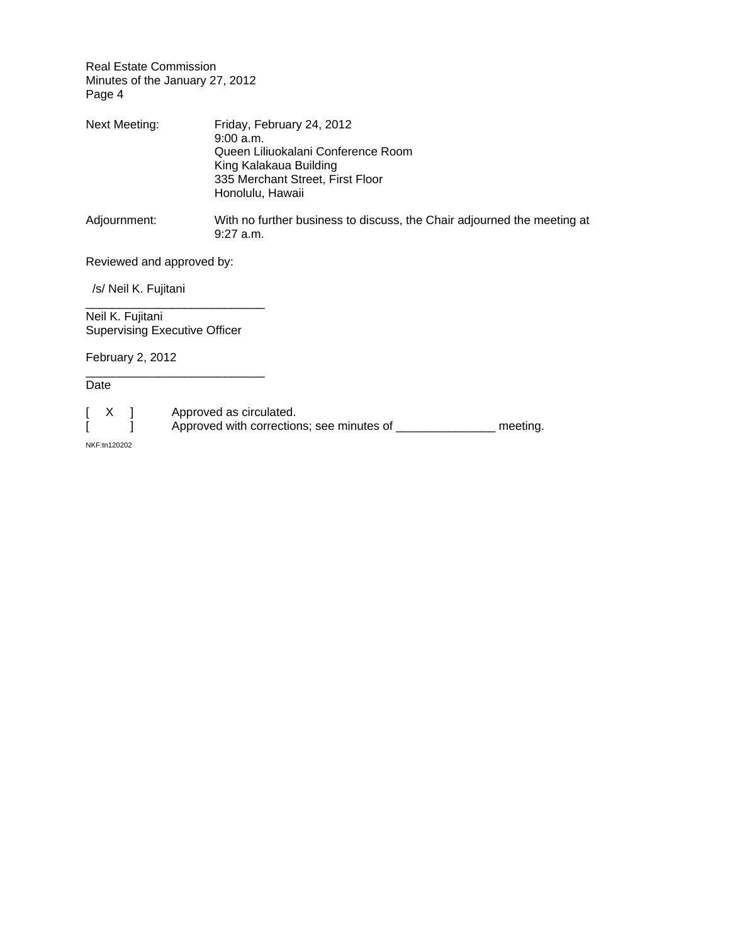| Next Meeting: | Friday, February 24, 2012<br>9:00a.m.<br>Queen Liliuokalani Conference Room<br>King Kalakaua Building<br>335 Merchant Street, First Floor<br>Honolulu, Hawaii |
|---------------|---------------------------------------------------------------------------------------------------------------------------------------------------------------|
| Adjournment:  | With no further business to discuss, the Chair adjourned the meeting at<br>$9:27$ a.m.                                                                        |

# Reviewed and approved by:

/s/ Neil K. Fujitani

Neil K. Fujitani Supervising Executive Officer

\_\_\_\_\_\_\_\_\_\_\_\_\_\_\_\_\_\_\_\_\_\_\_\_\_\_\_

\_\_\_\_\_\_\_\_\_\_\_\_\_\_\_\_\_\_\_\_\_\_\_\_\_\_\_

February 2, 2012

Date

[ X ] Approved as circulated.<br>[ ] Approved with correction Approved with corrections; see minutes of \_\_\_\_\_\_\_\_\_\_\_\_\_\_\_\_ meeting.

NKF:tn120202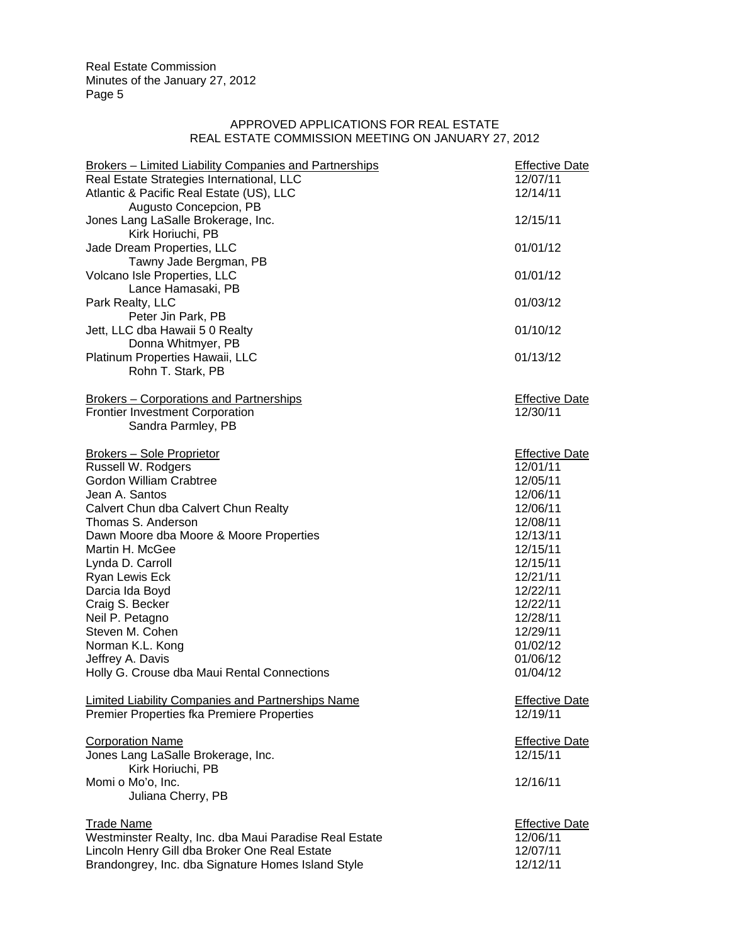## APPROVED APPLICATIONS FOR REAL ESTATE REAL ESTATE COMMISSION MEETING ON JANUARY 27, 2012

| <b>Brokers - Limited Liability Companies and Partnerships</b> | <b>Effective Date</b> |
|---------------------------------------------------------------|-----------------------|
| Real Estate Strategies International, LLC                     | 12/07/11              |
| Atlantic & Pacific Real Estate (US), LLC                      | 12/14/11              |
| Augusto Concepcion, PB                                        |                       |
| Jones Lang LaSalle Brokerage, Inc.                            | 12/15/11              |
| Kirk Horiuchi, PB                                             |                       |
| Jade Dream Properties, LLC                                    | 01/01/12              |
| Tawny Jade Bergman, PB                                        |                       |
| Volcano Isle Properties, LLC                                  | 01/01/12              |
| Lance Hamasaki, PB                                            |                       |
| Park Realty, LLC                                              | 01/03/12              |
| Peter Jin Park, PB                                            |                       |
| Jett, LLC dba Hawaii 5 0 Realty                               | 01/10/12              |
| Donna Whitmyer, PB                                            |                       |
| Platinum Properties Hawaii, LLC                               | 01/13/12              |
| Rohn T. Stark, PB                                             |                       |
| Brokers - Corporations and Partnerships                       | <b>Effective Date</b> |
| <b>Frontier Investment Corporation</b>                        | 12/30/11              |
| Sandra Parmley, PB                                            |                       |
|                                                               |                       |
| Brokers - Sole Proprietor                                     | <b>Effective Date</b> |
| Russell W. Rodgers                                            | 12/01/11              |
| <b>Gordon William Crabtree</b>                                | 12/05/11              |
| Jean A. Santos                                                | 12/06/11              |
| Calvert Chun dba Calvert Chun Realty                          | 12/06/11              |
| Thomas S. Anderson                                            | 12/08/11<br>12/13/11  |
| Dawn Moore dba Moore & Moore Properties                       |                       |
| Martin H. McGee                                               | 12/15/11              |
| Lynda D. Carroll                                              | 12/15/11              |
| Ryan Lewis Eck                                                | 12/21/11              |
| Darcia Ida Boyd                                               | 12/22/11              |
| Craig S. Becker                                               | 12/22/11              |
| Neil P. Petagno                                               | 12/28/11              |
| Steven M. Cohen                                               | 12/29/11              |
| Norman K.L. Kong                                              | 01/02/12              |
| Jeffrey A. Davis                                              | 01/06/12              |
| Holly G. Crouse dba Maui Rental Connections                   | 01/04/12              |
| Limited Liability Companies and Partnerships Name             | <b>Effective Date</b> |
| Premier Properties fka Premiere Properties                    | 12/19/11              |
|                                                               |                       |
| <b>Corporation Name</b>                                       | <b>Effective Date</b> |
| Jones Lang LaSalle Brokerage, Inc.                            | 12/15/11              |
| Kirk Horiuchi, PB                                             |                       |
| Momi o Mo'o, Inc.                                             | 12/16/11              |
| Juliana Cherry, PB                                            |                       |
| <b>Trade Name</b>                                             | <b>Effective Date</b> |
| Westminster Realty, Inc. dba Maui Paradise Real Estate        | 12/06/11              |
| Lincoln Henry Gill dba Broker One Real Estate                 | 12/07/11              |
| Brandongrey, Inc. dba Signature Homes Island Style            | 12/12/11              |
|                                                               |                       |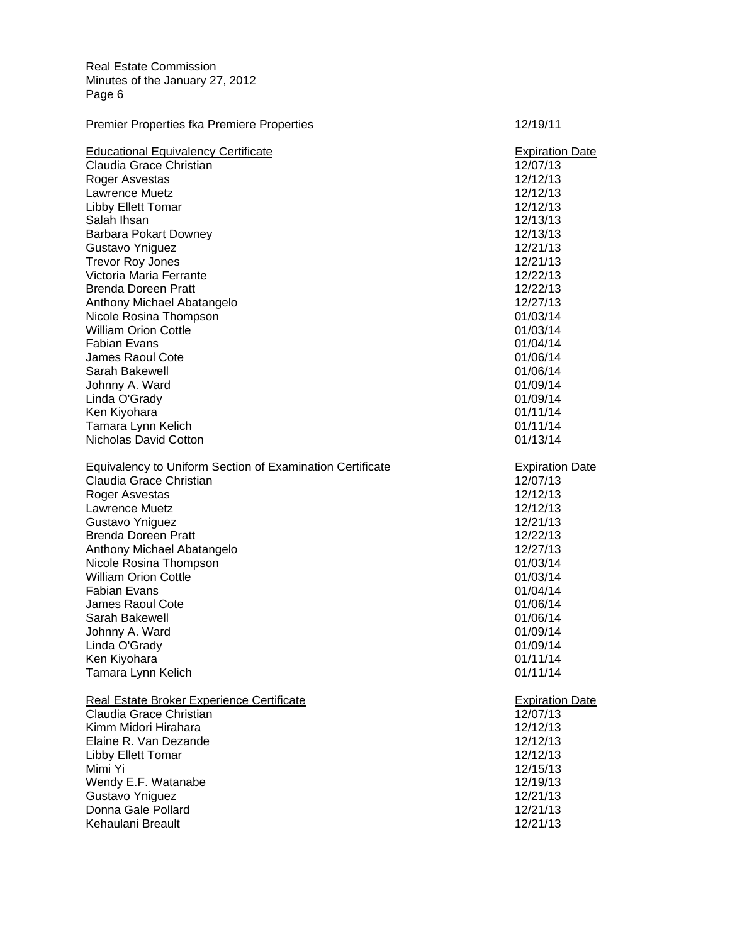| <b>Educational Equivalency Certificate</b>                       | <b>Expiration Date</b> |
|------------------------------------------------------------------|------------------------|
| Claudia Grace Christian                                          | 12/07/13               |
| Roger Asvestas                                                   | 12/12/13               |
| Lawrence Muetz                                                   | 12/12/13               |
| Libby Ellett Tomar                                               | 12/12/13               |
| Salah Ihsan                                                      | 12/13/13               |
| Barbara Pokart Downey                                            | 12/13/13               |
| Gustavo Yniguez                                                  | 12/21/13               |
| <b>Trevor Roy Jones</b>                                          | 12/21/13               |
| Victoria Maria Ferrante                                          | 12/22/13               |
| <b>Brenda Doreen Pratt</b>                                       | 12/22/13               |
| Anthony Michael Abatangelo                                       | 12/27/13               |
| Nicole Rosina Thompson                                           | 01/03/14               |
| <b>William Orion Cottle</b>                                      | 01/03/14               |
| <b>Fabian Evans</b>                                              | 01/04/14               |
| <b>James Raoul Cote</b>                                          | 01/06/14               |
| Sarah Bakewell                                                   | 01/06/14               |
| Johnny A. Ward                                                   | 01/09/14               |
| Linda O'Grady                                                    | 01/09/14               |
| Ken Kiyohara                                                     | 01/11/14               |
| Tamara Lynn Kelich                                               | 01/11/14               |
| Nicholas David Cotton                                            | 01/13/14               |
| <b>Equivalency to Uniform Section of Examination Certificate</b> | <b>Expiration Date</b> |
| Claudia Grace Christian                                          | 12/07/13               |
| Roger Asvestas                                                   | 12/12/13               |
| Lawrence Muetz                                                   | 12/12/13               |
| Gustavo Yniguez                                                  | 12/21/13               |
| <b>Brenda Doreen Pratt</b>                                       | 12/22/13               |
| Anthony Michael Abatangelo                                       | 12/27/13               |
| Nicole Rosina Thompson                                           | 01/03/14               |
| <b>William Orion Cottle</b>                                      | 01/03/14               |
| <b>Fabian Evans</b>                                              | 01/04/14               |
| <b>James Raoul Cote</b>                                          | 01/06/14               |
| Sarah Bakewell                                                   | 01/06/14               |
| Johnny A. Ward                                                   | 01/09/14               |
| Linda O'Grady                                                    | 01/09/14               |
| Ken Kiyohara                                                     | 01/11/14               |
| Tamara Lynn Kelich                                               | 01/11/14               |
| Real Estate Broker Experience Certificate                        | <b>Expiration Date</b> |
| Claudia Grace Christian                                          | 12/07/13               |
| Kimm Midori Hirahara                                             | 12/12/13               |
| Elaine R. Van Dezande                                            | 12/12/13               |
| Libby Ellett Tomar                                               | 12/12/13               |
| Mimi Yi                                                          | 12/15/13               |
| Wendy E.F. Watanabe                                              | 12/19/13               |
| Gustavo Yniguez                                                  | 12/21/13               |
| Donna Gale Pollard                                               | 12/21/13               |
| Kehaulani Breault                                                | 12/21/13               |

Premier Properties fka Premiere Properties 12/19/11